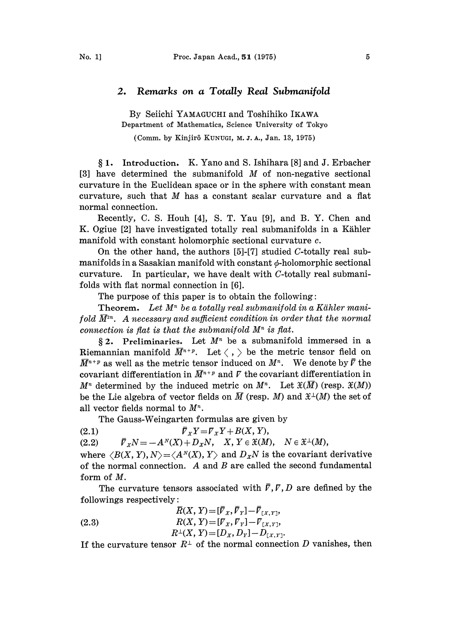## 2. Remarks on a Totally Real Submanifold

By Seiichi YAMAGUCHI and Toshihiko IKAWA Department of Mathematics, Science University of Tokyo

(Comm. by Kinjirô KUNUGI, M. J. A., Jan. 13, 1975)

1. Introduction. K. Yano and S. Ishihara [8] and J. Erbacher [3] have determined the submanifold  $M$  of non-negative sectional curvature in the Euclidean space or in the sphere with constant mean curvature, such that  $M$  has a constant scalar curvature and a flat normal connection.

Recently, C. S. Houh [4], S. T. Yau [9], and B. Y. Chen and K. Ogiue [2] have investigated totally real submanifolds in a Kihler manifold with constant holomorphic sectional curvature c.

On the other hand, the authors  $[5]$ - $[7]$  studied C-totally real submanifolds in a Sasakian manifold with constant  $\phi$ -holomorphic sectional curvature. In particular, we have dealt with C-totally real submanifolds with flat normal connection in [6].

The purpose of this paper is to obtain the following:

**Theorem.** Let  $M^n$  be a totally real submanifold in a Kähler manifold  $\bar{M}^{2n}$ . A necessary and sufficient condition in order that the normal connection is flat is that the submanifold  $M<sup>n</sup>$  is flat.

§ 2. Preliminaries. Let  $M^n$  be a submanifold immersed in a Riemannian manifold  $\overline{M}^{n+p}$ . Let  $\langle , \rangle$  be the metric tensor field on  $\overline{M}^{n+p}$  as well as the metric tensor induced on  $M^n$ . We denote by  $\overline{V}$  the covariant differentiation in  $\bar{M}^{n+p}$  and  $\bar{V}$  the covariant differentiation in  $M^n$  determined by the induced metric on  $M^n$ . Let  $\mathfrak{X}(\overline{M})$  (resp.  $\mathfrak{X}(M)$ ) be the Lie algebra of vector fields on  $\overline{M}$  (resp. M) and  $\mathfrak{X}^{\perp}(M)$  the set of all vector fields normal to  $M^n$ .

The Gauss-Weingarten formulas are given by

(2.1)  $\bar{\nabla}_X Y = \bar{\nabla}_X Y + B(X, Y),$ 

(2.2)  $\overline{V}_XN=-A^N(X)+D_XN, X, Y \in \mathfrak{X}(M), N \in \mathfrak{X}^{\perp}(M),$ 

where  $\langle B(X, Y), N \rangle = \langle A^N(X), Y \rangle$  and  $D_X N$  is the covariant derivative of the normal connection.  $A$  and  $B$  are called the second fundamental form of M.

The curvature tensors associated with  $\bar{r}$ ,  $\bar{r}$ ,  $\bar{D}$  are defined by the followings respectively:

followings respectively:  
\n
$$
\overline{R}(X, Y) = [\overline{V}_X, \overline{V}_Y] - \overline{V}_{[X, Y]},
$$
\n(2.3)  
\n
$$
R(X, Y) = [V_X, V_Y] - V_{[X, Y]},
$$
\n
$$
R^{\perp}(X, Y) = [D_X, D_Y] - D_{[X, Y]}.
$$

If the curvature tensor  $R^{\perp}$  of the normal connection D vanishes, then